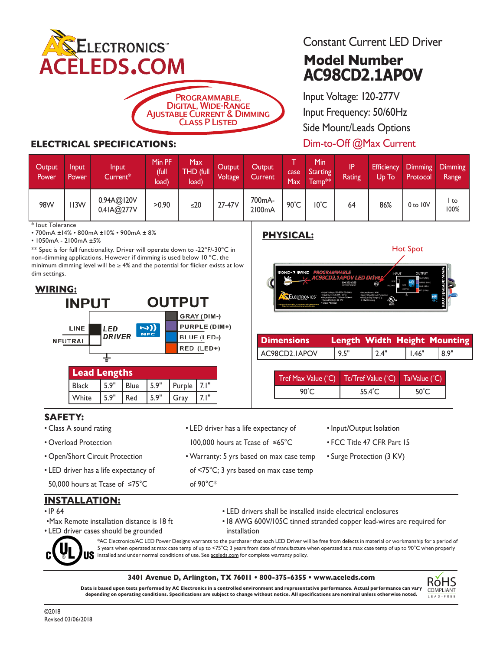



### **ELECTRICAL SPECIFICATIONS:**

## Constant Current LED Driver

# **Model Number AC98CD2.1APOV**

Input Voltage: 120-277V Input Frequency: 50/60Hz Side Mount/Leads Options Dim-to-Off @Max Current

| Output<br><b>Power</b> | <b>Input</b><br>Power | Input<br>$Current*$      | Min PF<br>(full<br>load) | Max<br>THD (full<br>load) | Output<br>Voltage' | Output<br>Current | case<br>Max  | Min<br><b>Starting</b><br>Temp <sup>**</sup> | IP.<br>Rating | Efficiency<br>Up To' | Protocol     | Dimming Dimming<br>Range |
|------------------------|-----------------------|--------------------------|--------------------------|---------------------------|--------------------|-------------------|--------------|----------------------------------------------|---------------|----------------------|--------------|--------------------------|
| <b>98W</b>             | II3W                  | 0.94A@I20V<br>0.4IA@277V | >0.90                    | $\leq 20$                 | 27-47V             | 700mA-<br>2100mA  | $90^\circ C$ | I0°C                                         | 64            | 86%                  | $0$ to $10V$ | l to<br>100%             |

lout Tolerance

• 700mA ±14% • 800mA ±10% • 900mA ± 8%

• 1050mA - 2100mA ±5%

\*\* Spec is for full functionality. Driver will operate down to -22ºF/-30ºC in non-dimming applications. However if dimming is used below 10 ºC, the minimum dimming level will be  $\geq 4\%$  and the potential for flicker exists at low dim settings.



## **PHYSICAL:**



| <b>Dimensions</b> | Length Width Height Mounting |      |           |      |
|-------------------|------------------------------|------|-----------|------|
| AC98CD2.IAPOV     | 9.5"                         | 2.4" | $ $ 1.46" | 8.9" |

| Tref Max Value (°C)   Tc/Tref Value (°C) |        | Ta/Value (°C)   |
|------------------------------------------|--------|-----------------|
| 90°C                                     | 55.4°C | 50 $^{\circ}$ C |

### **SAFETY:**

- Class A sound rating
- Overload Protection
- Open/Short Circuit Protection
- LED driver has a life expectancy of

### • LED driver has a life expectancy of

100,000 hours at Tcase of ≤65°C

of 90°C\*

- Warranty: 5 yrs based on max case temp of <75°C; 3 yrs based on max case temp
- Input/Output Isolation
- FCC Title 47 CFR Part 15
- Surge Protection (3 KV)

50,000 hours at Tcase of ≤75°C

### **INSTALLATION:**

- IP 64
- •Max Remote installation distance is 18 ft
- LED driver cases should be grounded
- 
- - LED drivers shall be installed inside electrical enclosures
	- 18 AWG 600V/105C tinned stranded copper lead-wires are required for installation



\*AC Electronics/AC LED Power Designs warrants to the purchaser that each LED Driver will be free from defects in material or workmanship for a period of 5 years when operated at max case temp of up to <75°C; 3 years from date of manufacture when operated at a max case temp of up to 90°C when properly installed and under normal conditions of use. See aceleds.com for complete warranty policy.

#### **3401 Avenue D, Arlington, TX 76011 • 800-375-6355 • www.aceleds.com**

**Data is based upon tests performed by AC Electronics in a controlled environment and representative performance. Actual performance can vary depending on operating conditions. Specifications are subject to change without notice. All specifications are nominal unless otherwise noted.**